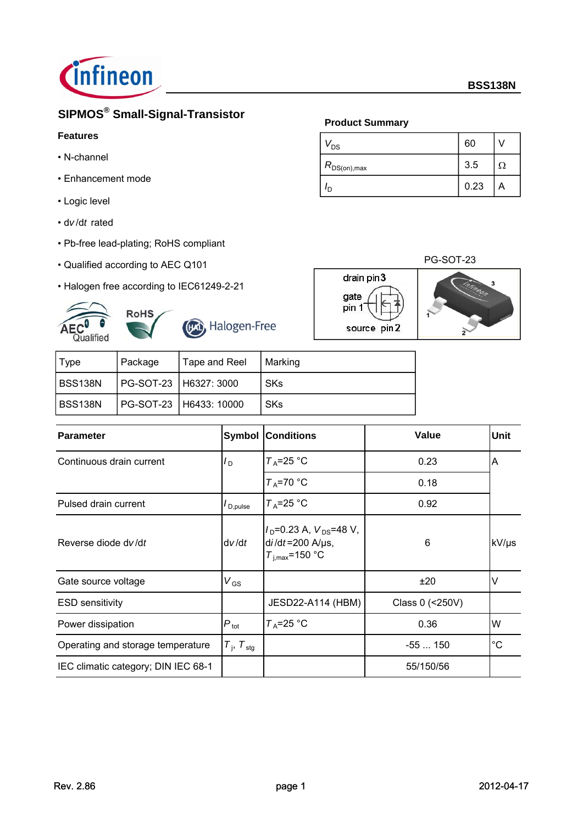

# **SIPMOS® Small-Signal-Transistor**

## **Features**

- N-channel
- Enhancement mode
- Logic level
- d*v* /d*t* rated
- Pb-free lead-plating; RoHS compliant
- Qualified according to AEC Q101
- Halogen free according to IEC61249-2-21





Halogen-Free

| ∣ Tvpe  | Package               | Tape and Reel            | Marking    |
|---------|-----------------------|--------------------------|------------|
| BSS138N | PG-SOT-23 H6327: 3000 |                          | <b>SKs</b> |
| BSS138N |                       | PG-SOT-23   H6433: 10000 | <b>SKs</b> |

| <b>Parameter</b>                    | Symbol                      | <b>Conditions</b>                                                                  | Value           | <b>Unit</b> |
|-------------------------------------|-----------------------------|------------------------------------------------------------------------------------|-----------------|-------------|
| Continuous drain current            | $I_{\sf D}$                 | $T_A = 25$ °C                                                                      | 0.23            | Α           |
|                                     |                             | $T_A = 70$ °C                                                                      | 0.18            |             |
| Pulsed drain current                | $I_{\text{D,pulse}}$        | $T_A = 25$ °C                                                                      | 0.92            |             |
| Reverse diode dv/dt                 | dv/dt                       | $V_D$ =0.23 A, $V_{DS}$ =48 V,<br>$di/dt = 200$ A/ $\mu$ s,<br>$T_{i,max}$ =150 °C | 6               | kV/µs       |
| Gate source voltage                 | $V_{GS}$                    |                                                                                    | ±20             | $\vee$      |
| <b>ESD sensitivity</b>              |                             | JESD22-A114 (HBM)                                                                  | Class 0 (<250V) |             |
| Power dissipation                   | $P_{\text{tot}}$            | $T_A = 25$ °C                                                                      | 0.36            | W           |
| Operating and storage temperature   | $T_{\rm j}$ , $T_{\rm stg}$ |                                                                                    | $-55150$        | $^{\circ}C$ |
| IEC climatic category; DIN IEC 68-1 |                             |                                                                                    | 55/150/56       |             |

## **Product Summary**

drain pin3

source pin2

gate pin 1

| $V_{DS}$         | 60   |     |
|------------------|------|-----|
| $R_{DS(on),max}$ | 3.5  | . . |
|                  | 0.23 | A   |

### PG-SOT-23

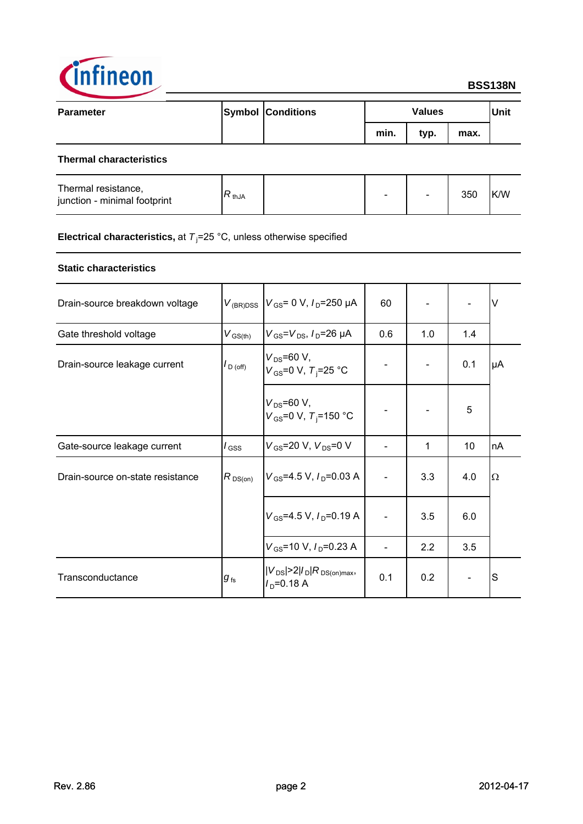

| <b>Parameter</b>               | <b>Symbol Conditions</b> |      | <b>Values</b> |      | Unit |
|--------------------------------|--------------------------|------|---------------|------|------|
|                                |                          | min. | typ.          | max. |      |
| <b>Thermal characteristics</b> |                          |      |               |      |      |

| Thermal resistance,<br>junction - minimal footprint | ヽthJA | - | $\overline{\phantom{a}}$ | 350 | <b>IK/W</b> |
|-----------------------------------------------------|-------|---|--------------------------|-----|-------------|
|                                                     |       |   |                          |     |             |

### **Electrical characteristics,** at T<sub>j</sub>=25 °C, unless otherwise specified

### **Static characteristics**

| Drain-source breakdown voltage   | $V_{(BR)DSS}$        | $V_{\rm GS}$ = 0 V, $I_{\rm D}$ =250 µA                   | 60  |     |     | V  |
|----------------------------------|----------------------|-----------------------------------------------------------|-----|-----|-----|----|
| Gate threshold voltage           | $V_{\text{GS(th)}}$  | $V_{\rm GS} = V_{\rm DS}$ , $I_{\rm D} = 26 \mu A$        | 0.6 | 1.0 | 1.4 |    |
| Drain-source leakage current     | $I_{\text{D (off)}}$ | $V_{DS} = 60 V,$<br>$V_{GS}$ =0 V, $T_i$ =25 °C           |     |     | 0.1 | μA |
|                                  |                      | $V_{DS} = 60 V,$<br>$V_{GS}$ =0 V, T <sub>i</sub> =150 °C |     |     | 5   |    |
| Gate-source leakage current      | $I_{\rm GSS}$        | $V_{GS}$ =20 V, $V_{DS}$ =0 V                             |     | 1   | 10  | nA |
| Drain-source on-state resistance | $R_{DS(on)}$         | $V_{GS}$ =4.5 V, $I_{D}$ =0.03 A                          |     | 3.3 | 4.0 | Ω  |
|                                  |                      | $V_{GS}$ =4.5 V, $I_D$ =0.19 A                            |     | 3.5 | 6.0 |    |
|                                  |                      | $V_{GS}$ =10 V, $I_D$ =0.23 A                             |     | 2.2 | 3.5 |    |
| Transconductance                 | $g_{\,\rm fs}$       | $ V_{DS}  > 2 I_D R_{DS(on)max}$<br>$I_{\rm D}$ =0.18 A   | 0.1 | 0.2 |     | S  |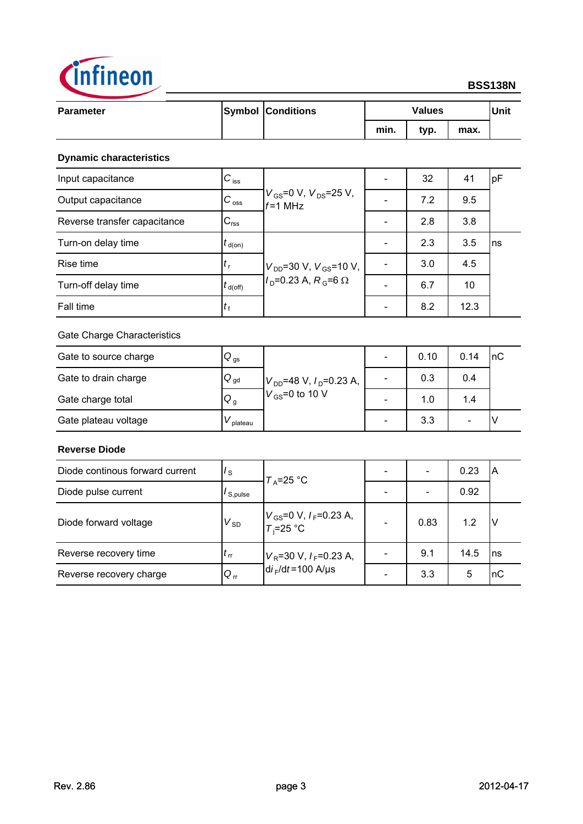

### **BSS138N**

| <b>Parameter</b> | <b>Symbol Conditions</b> | <b>Values</b><br>min.<br>max.<br>typ. |  | Unit |  |
|------------------|--------------------------|---------------------------------------|--|------|--|
|                  |                          |                                       |  |      |  |

### **Dynamic characteristics**

| Input capacitance            | $C_{\text{iss}}$    |                                               | 32  | 41   | pF |
|------------------------------|---------------------|-----------------------------------------------|-----|------|----|
| Output capacitance           | $C_{\rm oss}$       | $V_{GS}$ =0 V, $V_{DS}$ =25 V,<br>$f = 1$ MHz | 7.2 | 9.5  |    |
| Reverse transfer capacitance | $C_{\text{rss}}$    |                                               | 2.8 | 3.8  |    |
| Turn-on delay time           | $t_{\text{d}(on)}$  |                                               | 2.3 | 3.5  | ns |
| Rise time                    | $t_{\rm r}$         | $V_{DD}$ =30 V, $V_{GS}$ =10 V,               | 3.0 | 4.5  |    |
| Turn-off delay time          | $t_{\text{d(off)}}$ | $ID=0.23 A, RG=6 \Omega$                      | 6.7 | 10   |    |
| Fall time                    | $t_{\rm f}$         |                                               | 8.2 | 12.3 |    |

### Gate Charge Characteristics

| Gate to source charge | $Q_{\text{gs}}$ |                                |                          | 0.10 | 0.14 | InC |
|-----------------------|-----------------|--------------------------------|--------------------------|------|------|-----|
| Gate to drain charge  | $Q_{gd}$        | $V_{DD}$ =48 V, $I_D$ =0.23 A, | -                        | 0.3  | 0.4  |     |
| Gate charge total     | $Q_g$           | $V_{\text{GS}}$ =0 to 10 V     | $\overline{\phantom{0}}$ | 1.0  | 1.4  |     |
| Gate plateau voltage  | plateau         |                                |                          | 3.3  |      |     |

### **Reverse Diode**

| Diode continous forward current | $I_{\rm S}$    | $T_A = 25$ °C                                 |                              | 0.23 | ΙA        |
|---------------------------------|----------------|-----------------------------------------------|------------------------------|------|-----------|
| Diode pulse current             | $I_{S, pulse}$ |                                               | $\qquad \qquad \blacksquare$ | 0.92 |           |
| Diode forward voltage           | $V_{SD}$       | $V_{GS}$ =0 V, $I_F$ =0.23 A,<br>$T_i$ =25 °C | 0.83                         | 1.2  | ΙV        |
| Reverse recovery time           | $t_{rr}$       | $V_R$ =30 V, $I_F$ =0.23 A,                   | 9.1                          | 14.5 | Ins       |
| Reverse recovery charge         | $Q_{rr}$       | $di_F/dt = 100$ A/us                          | 3.3                          | 5    | <b>nC</b> |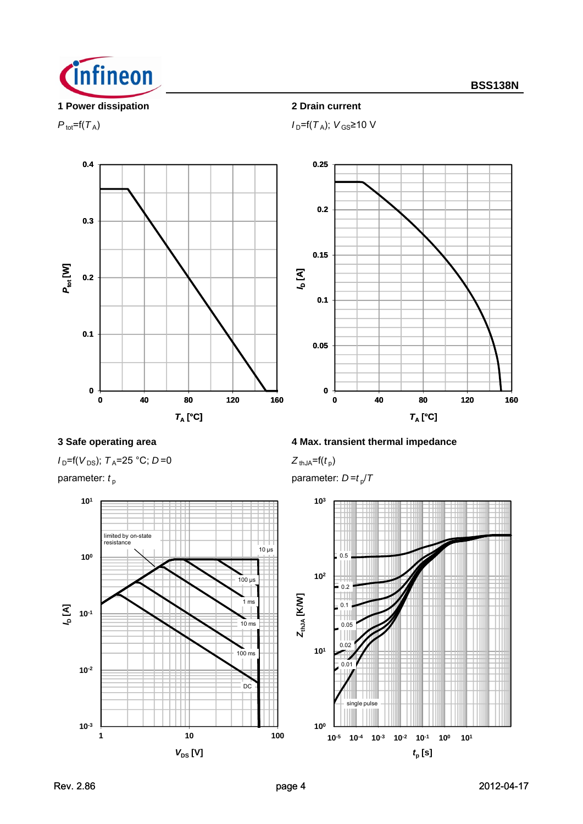

 $P_{\text{tot}} = f(T_A)$  *I*<sub>D</sub>= $f(T_A)$ ; *V*<sub>GS</sub>≥10 V



 $I_{D}$ =f(*V*<sub>DS</sub>); *T*<sub>A</sub>=25 °C; *D*=0 *Z*<sub>thJA</sub>=f(*t*<sub>p</sub>)



**3 Safe operating area 4 Max. transient thermal impedance** 

parameter:  $t_p$  parameter:  $D = t_p/T$ 

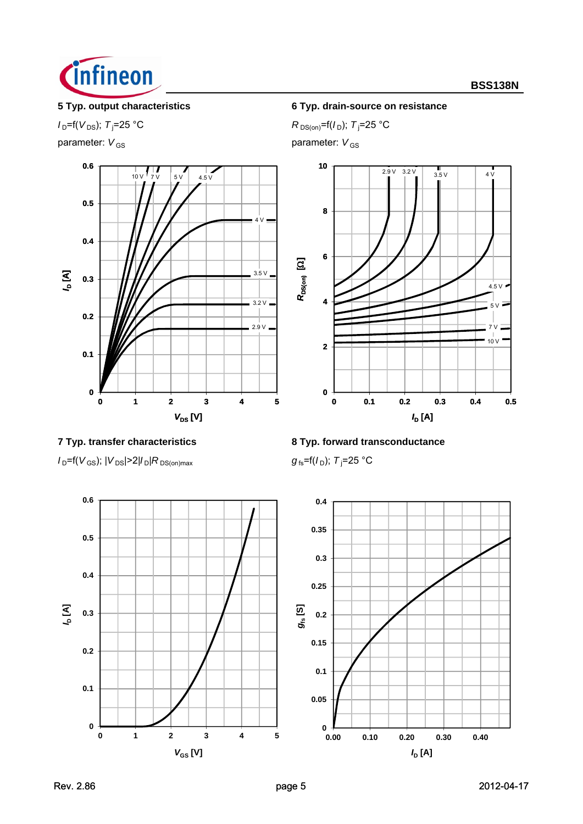

 $I_{\text{D}}$ =f( $V_{\text{DS}}$ );  $T_{\text{i}}$ =25 °C

parameter:  $V_{GS}$  parameter:  $V_{GS}$ 



 $I_{\text{D}}$ =f( $V_{\text{GS}}$ );  $|V_{\text{DS}}|$ >2| $I_{\text{D}}|R_{\text{DS}(on)max}$ 



 $R_{DS(on)} = f(I_D); T_i = 25 °C$ 



**7 Typ. transfer characteristics 8 Typ. forward transconductance**

 $g_{fs}$ =f( $I_D$ ); T<sub>i</sub>=25 °C



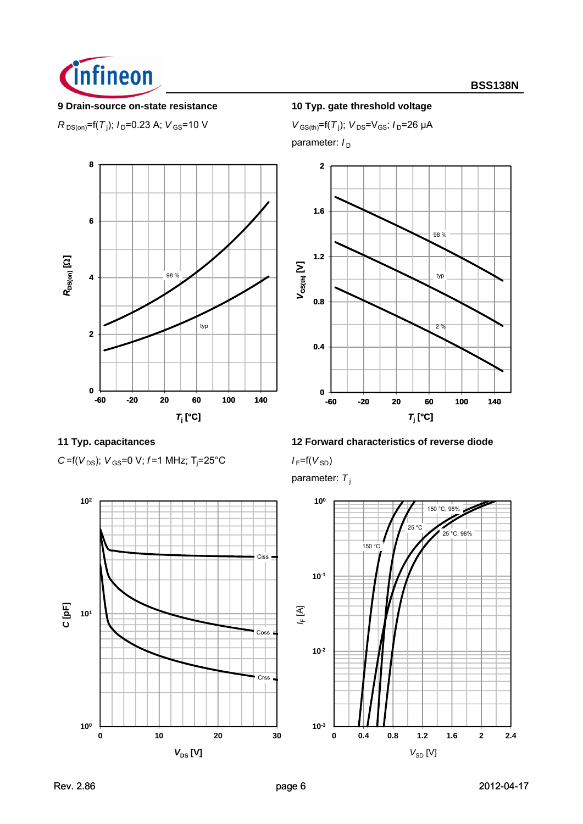

### **9 Drain-source on-state resistance 10 Typ. gate threshold voltage**

 $R_{DS(on)}$ =f(*T*<sub>j</sub>); *I*<sub>D</sub>=0.23 A; *V*<sub>GS</sub>=10 V *V*<sub>GS(th)</sub>=f(*T*<sub>j</sub>)

 $V_{\text{GS(th)}} = f(T_i); V_{\text{DS}} = V_{\text{GS}}; I_{\text{D}} = 26 \mu\text{A}$ 

parameter:  $I_D$ 





*C* =  $f(V_{DS})$ ;  $V_{GS}$  = 0 V;  $f$  = 1 MHz;  $T_i$  = 25 $°C$ 

# **11 Typ. capacitances 12 Forward characteristics of reverse diode**

=25°C *I* F=f(*V*SD)

parameter: T<sub>i</sub>

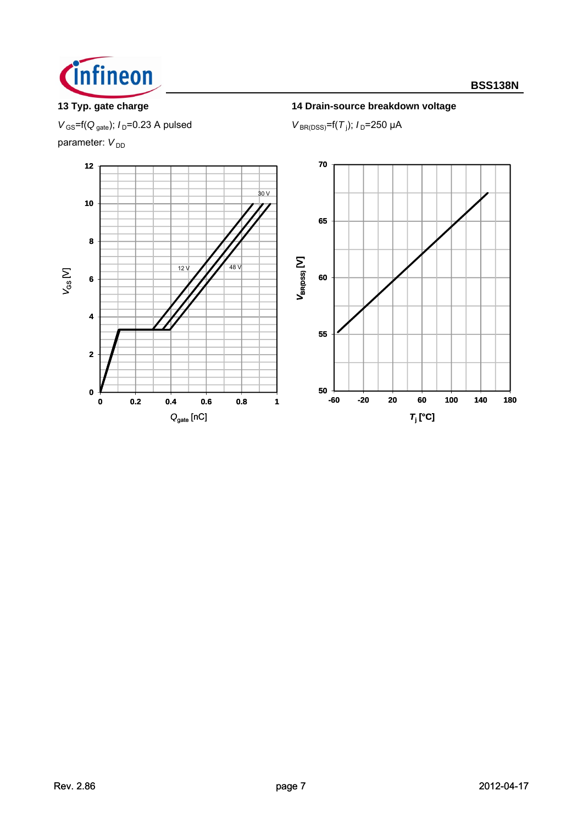

# **13 Typ. gate charge 14 Drain-source breakdown voltage**

 $V_{\text{GS}}$ =f( $Q_{\text{gate}}$ );  $I_{\text{D}}$ =0.23 A pulsed

parameter:  $V_{DD}$ 



 $V_{BR(DSS)} = f(T_i); I_D = 250 \mu A$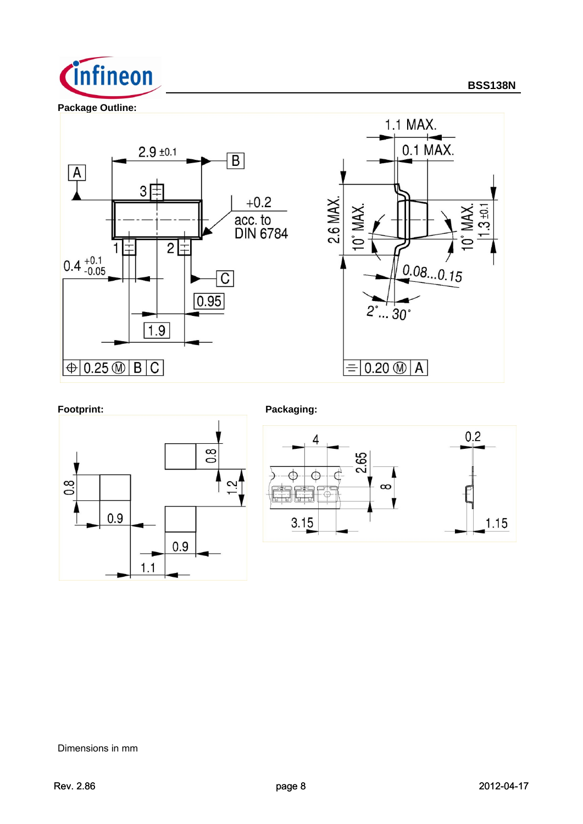

**Package Outline:**



Footprint: **Packaging:**